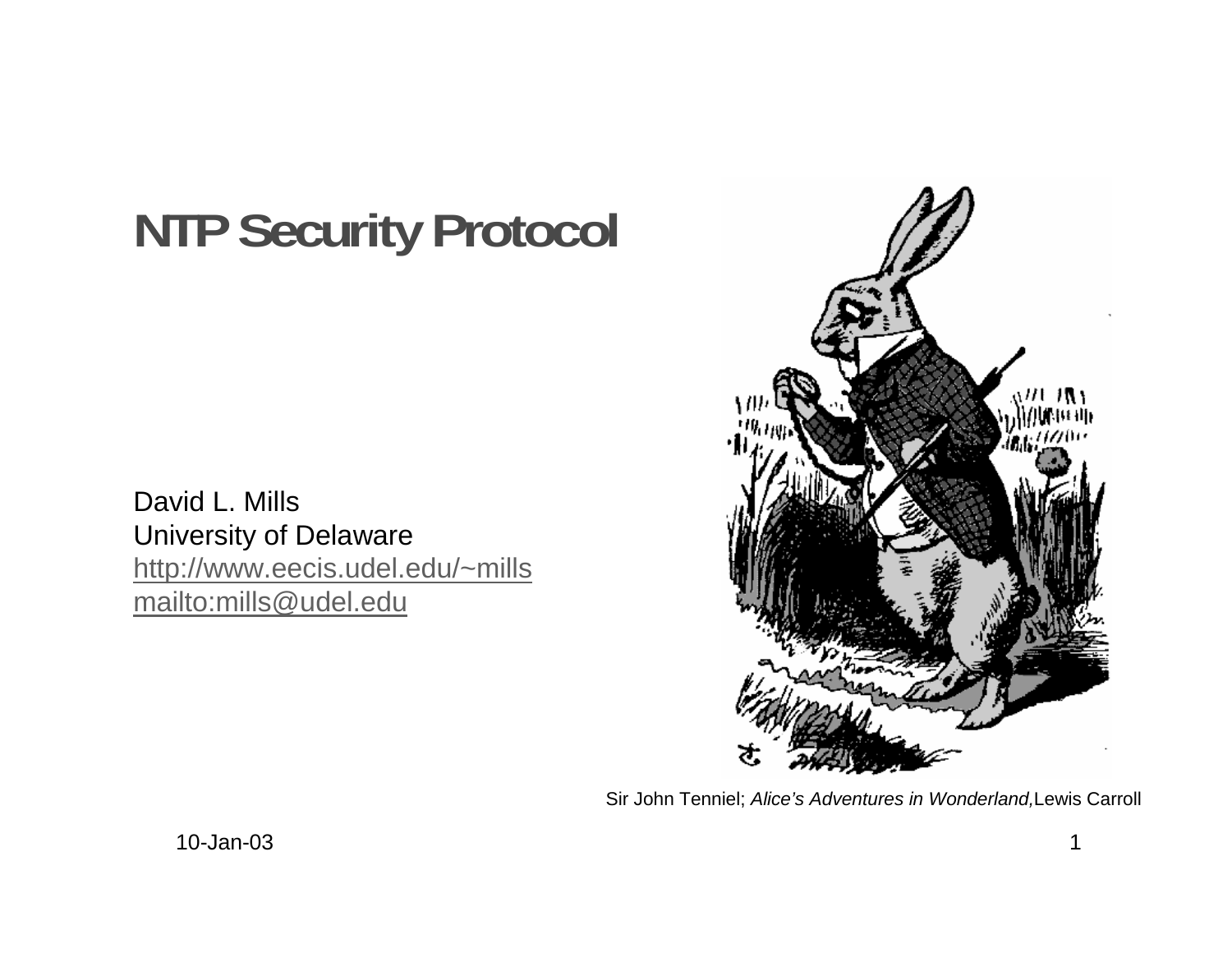# **NTP Security Protocol**

David L. Mills University of Delaware http://www.eecis.udel.edu/~mills mailto:mills@udel.edu



Sir John Tenniel; Alice's Adventures in Wonderland,Lewis Carroll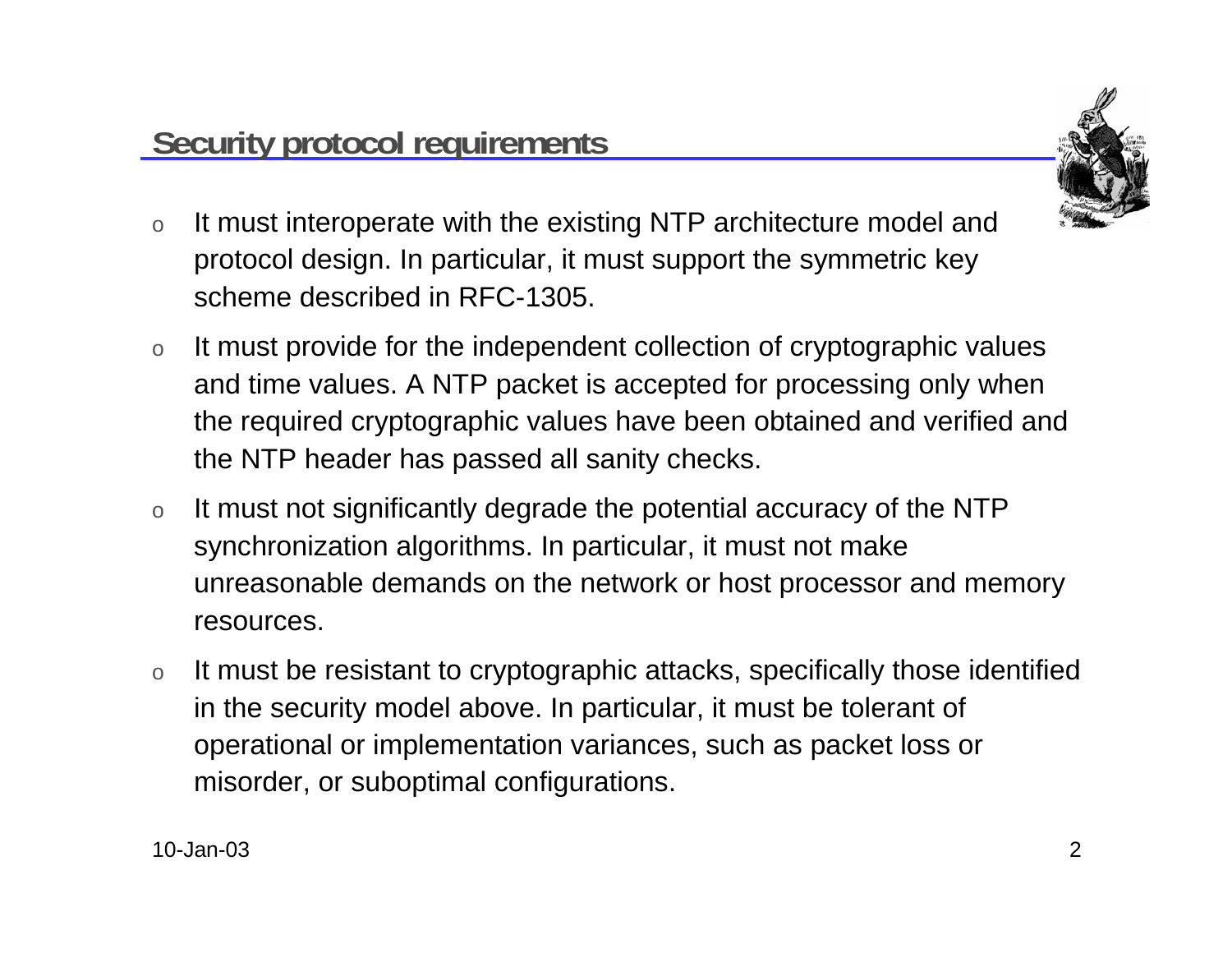

- o It must interoperate with the existing NTP architecture model and protocol design. In particular, it must support the symmetric key scheme described in RFC-1305.
- o It must provide for the independent collection of cryptographic values and time values. A NTP packet is accepted for processing only when the required cryptographic values have been obtained and verified and the NTP header has passed all sanity checks.
- o It must not significantly degrade the potential accuracy of the NTP synchronization algorithms. In particular, it must not make unreasonable demands on the network or host processor and memory resources.
- o It must be resistant to cryptographic attacks, specifically those identified in the security model above. In particular, it must be tolerant of operational or implementation variances, such as packet loss or misorder, or suboptimal configurations.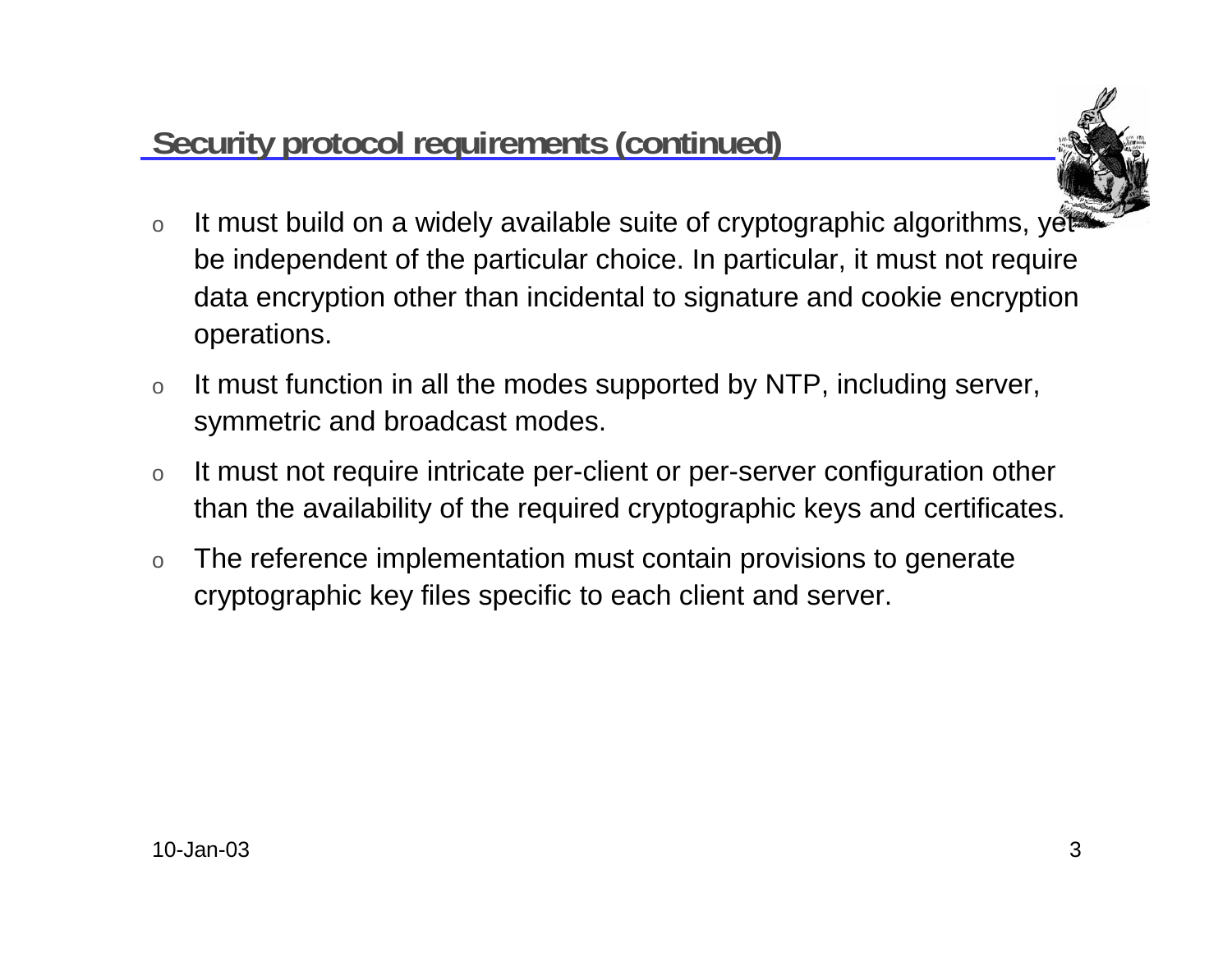### **Security protocol requirements (continued)**



- oIt must build on a widely available suite of cryptographic algorithms, yet be independent of the particular choice. In particular, it must not require data encryption other than incidental to signature and cookie encryption operations.
- o It must function in all the modes supported by NTP, including server, symmetric and broadcast modes.
- o It must not require intricate per-client or per-server configuration other than the availability of the required cryptographic keys and certificates.
- o The reference implementation must contain provisions to generate cryptographic key files specific to each client and server.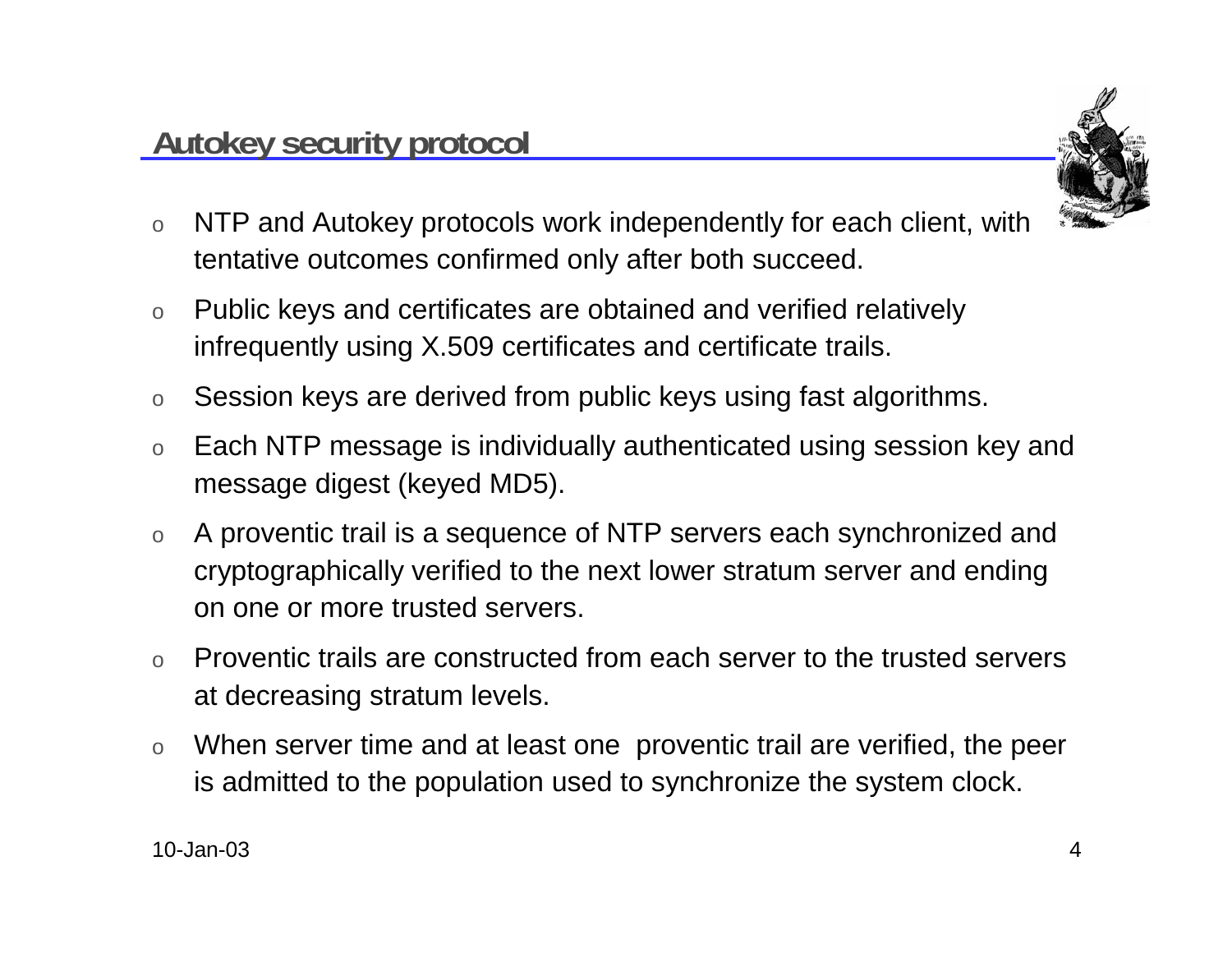

- o NTP and Autokey protocols work independently for each client, with tentative outcomes confirmed only after both succeed.
- o Public keys and certificates are obtained and verified relatively infrequently using X.509 certificates and certificate trails.
- oSession keys are derived from public keys using fast algorithms.
- o Each NTP message is individually authenticated using session key and message digest (keyed MD5).
- o A proventic trail is a sequence of NTP servers each synchronized and cryptographically verified to the next lower stratum server and ending on one or more trusted servers.
- o Proventic trails are constructed from each server to the trusted servers at decreasing stratum levels.
- o When server time and at least one proventic trail are verified, the peer is admitted to the population used to synchronize the system clock.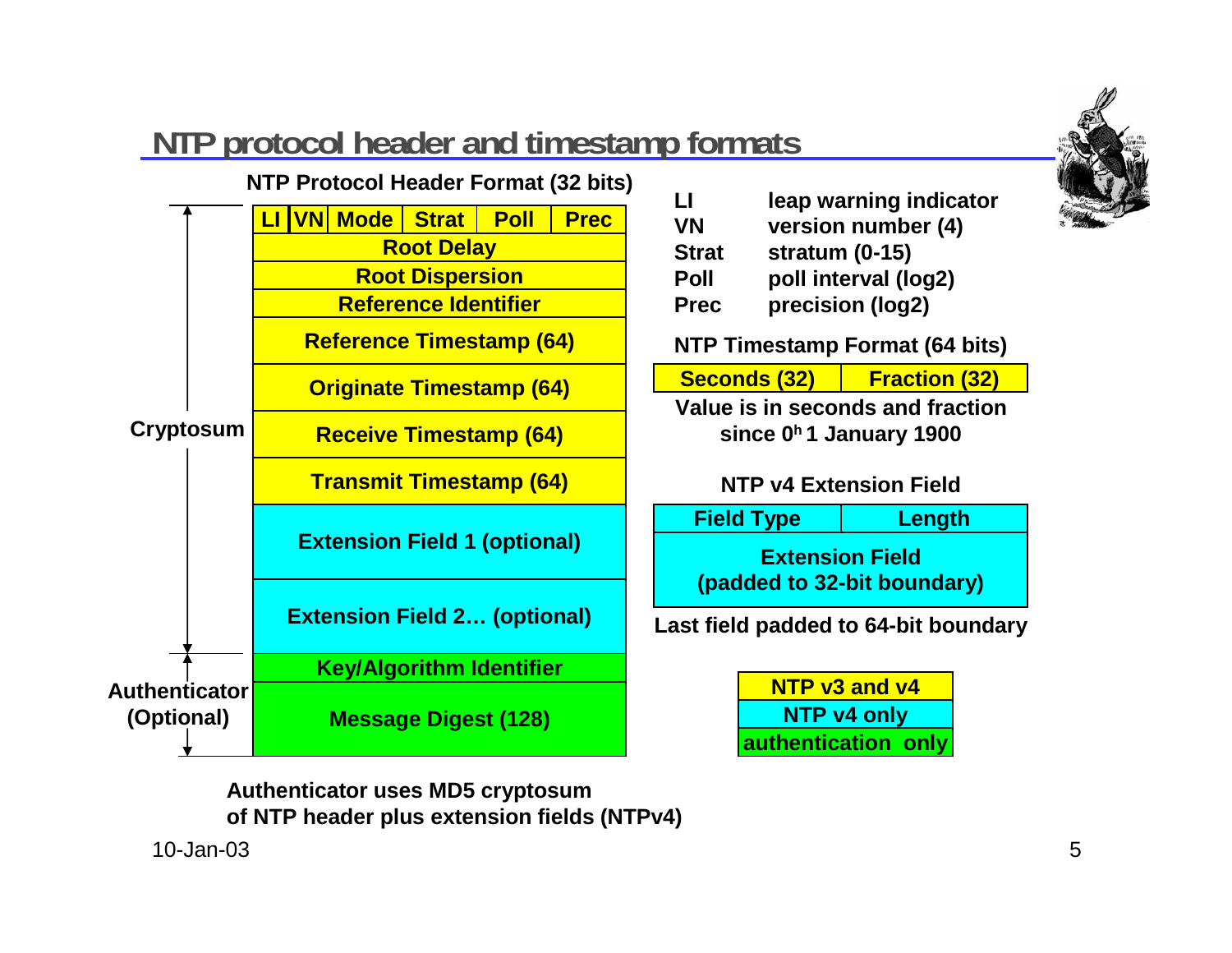

### **NTP protocol header and timestamp formats**



**VN version number (4) Strat stratum (0-15) Poll poll interval (log2) Prec precision (log2)**

**NTP Timestamp Format (64 bits)**

| Seconds (32) | <b>Fraction (32)</b> |  |
|--------------|----------------------|--|
|              |                      |  |

**Value is in seconds and fractionsince 0h 1 January 1900**

#### **NTP v4 Extension Field**

**Extension Field(padded to 32-bit boundary) Field Type Length**

**Last field padded to 64-bit boundary**

**NTP v3 and v4NTP v4 only authentication only**

**Authenticator uses MD5 cryptosum of NTP header plus extension fields (NTPv4)**

10-Jan-03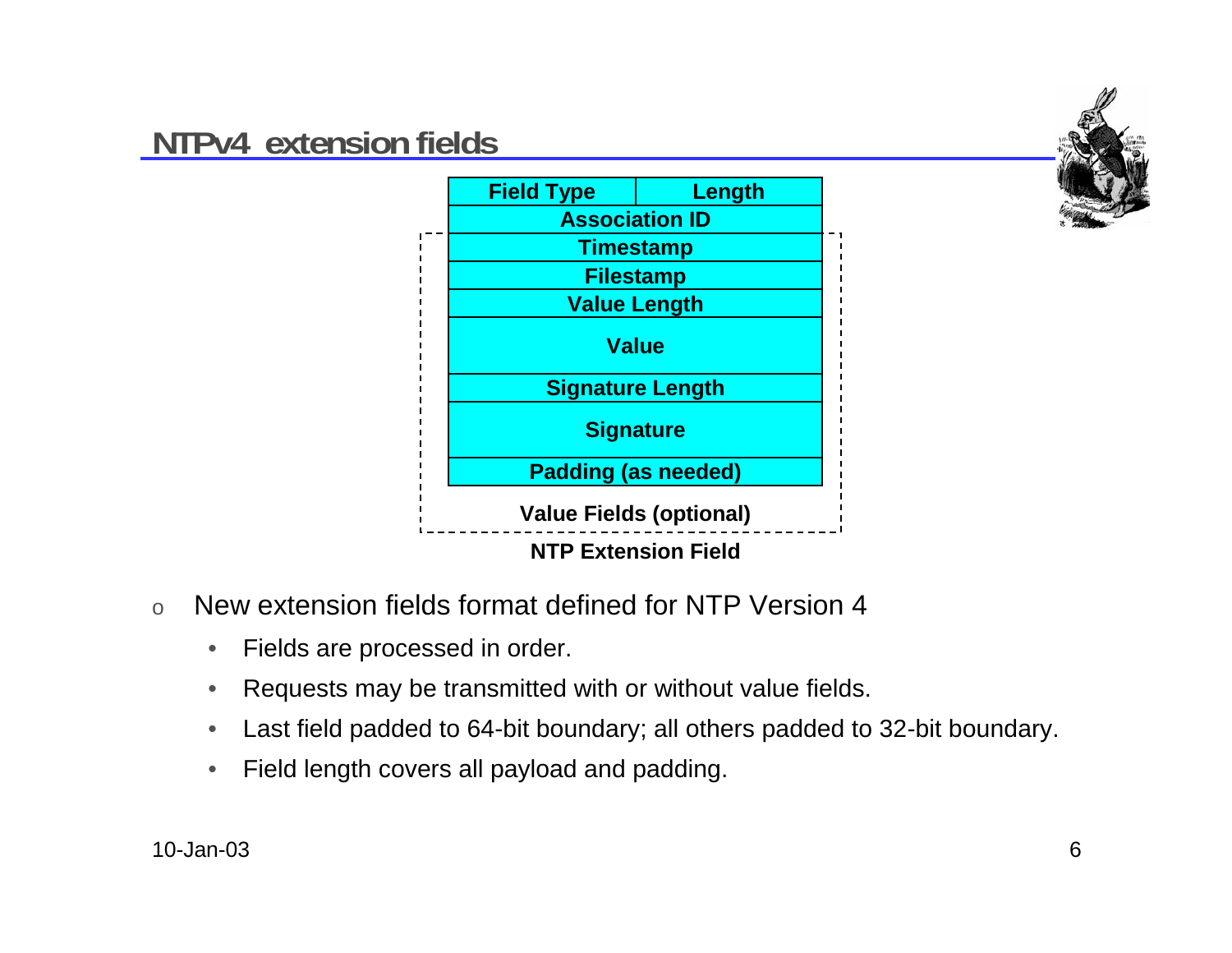### **NTPv4 extension fields**





- o New extension fields format defined for NTP Version 4
	- $\bullet$ Fields are processed in order.
	- •Requests may be transmitted with or without value fields.
	- •Last field padded to 64-bit boundary; all others padded to 32-bit boundary.
	- •Field length covers all payload and padding.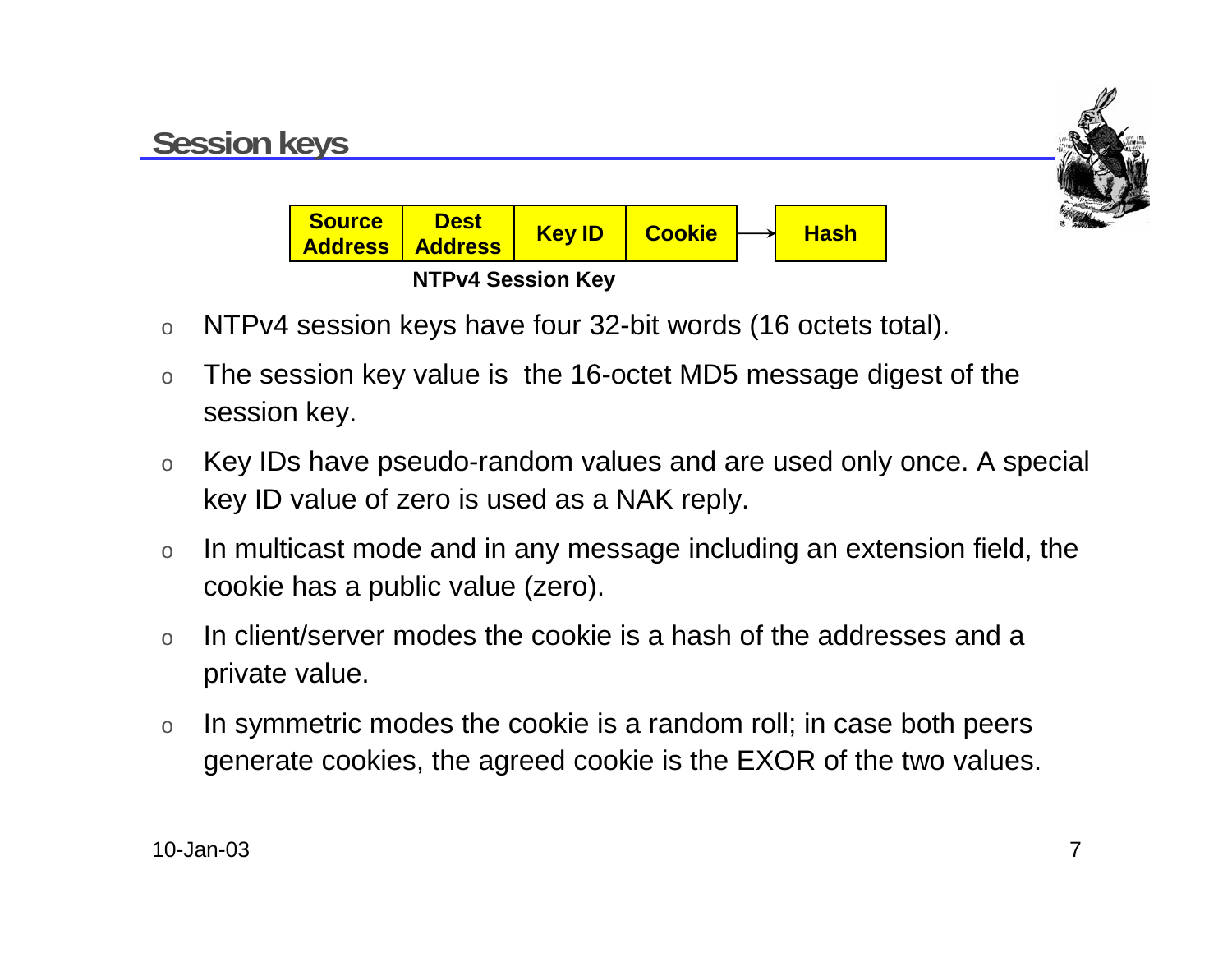

- oNTPv4 session keys have four 32-bit words (16 octets total).
- o The session key value is the 16-octet MD5 message digest of the session key.
- o Key IDs have pseudo-random values and are used only once. A special key ID value of zero is used as a NAK reply.
- o In multicast mode and in any message including an extension field, the cookie has a public value (zero).
- o In client/server modes the cookie is a hash of the addresses and a private value.
- o In symmetric modes the cookie is a random roll; in case both peers generate cookies, the agreed cookie is the EXOR of the two values.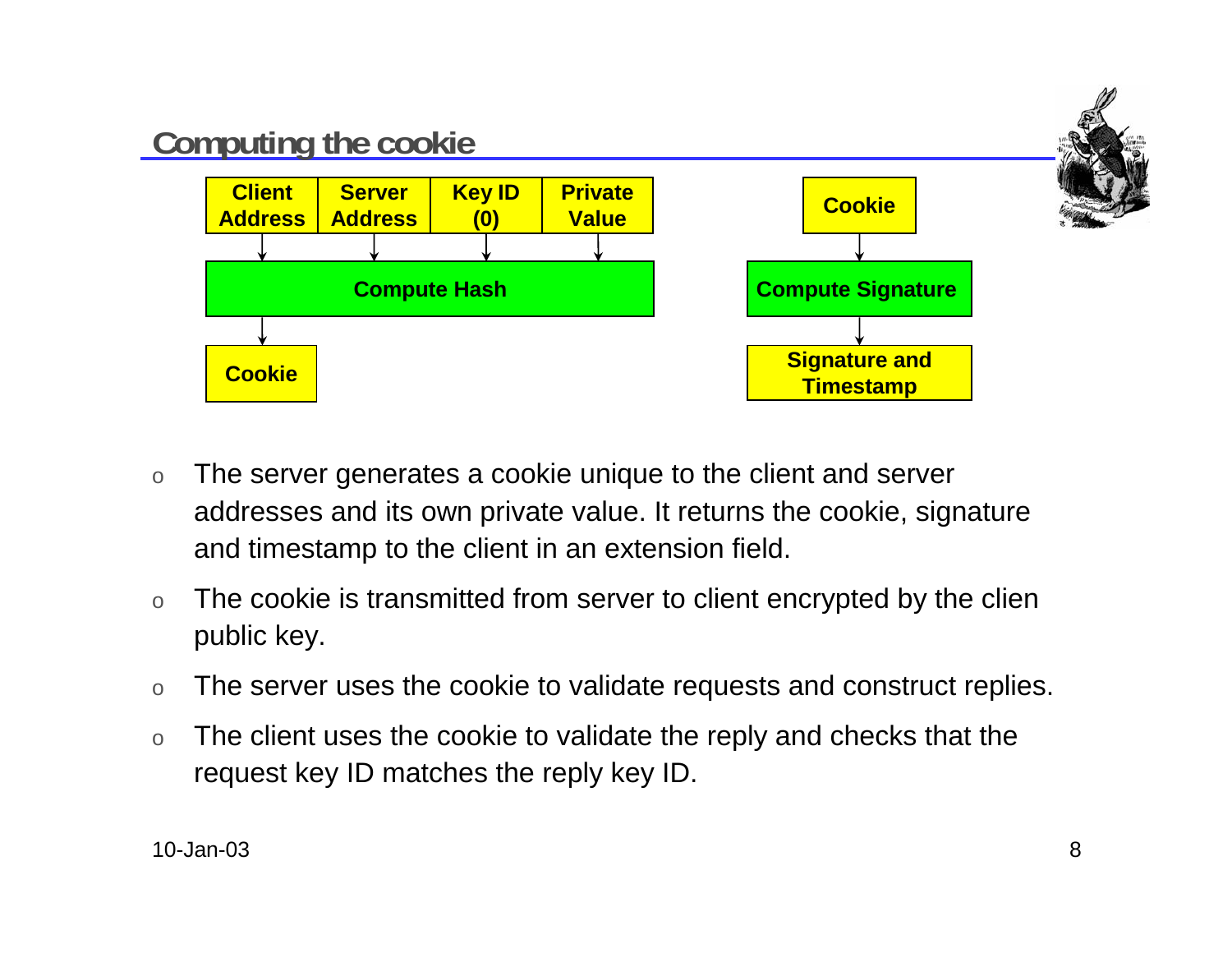

- o The server generates a cookie unique to the client and server addresses and its own private value. It returns the cookie, signature and timestamp to the client in an extension field.
- o The cookie is transmitted from server to client encrypted by the clien public key.
- oThe server uses the cookie to validate requests and construct replies.
- o The client uses the cookie to validate the reply and checks that the request key ID matches the reply key ID.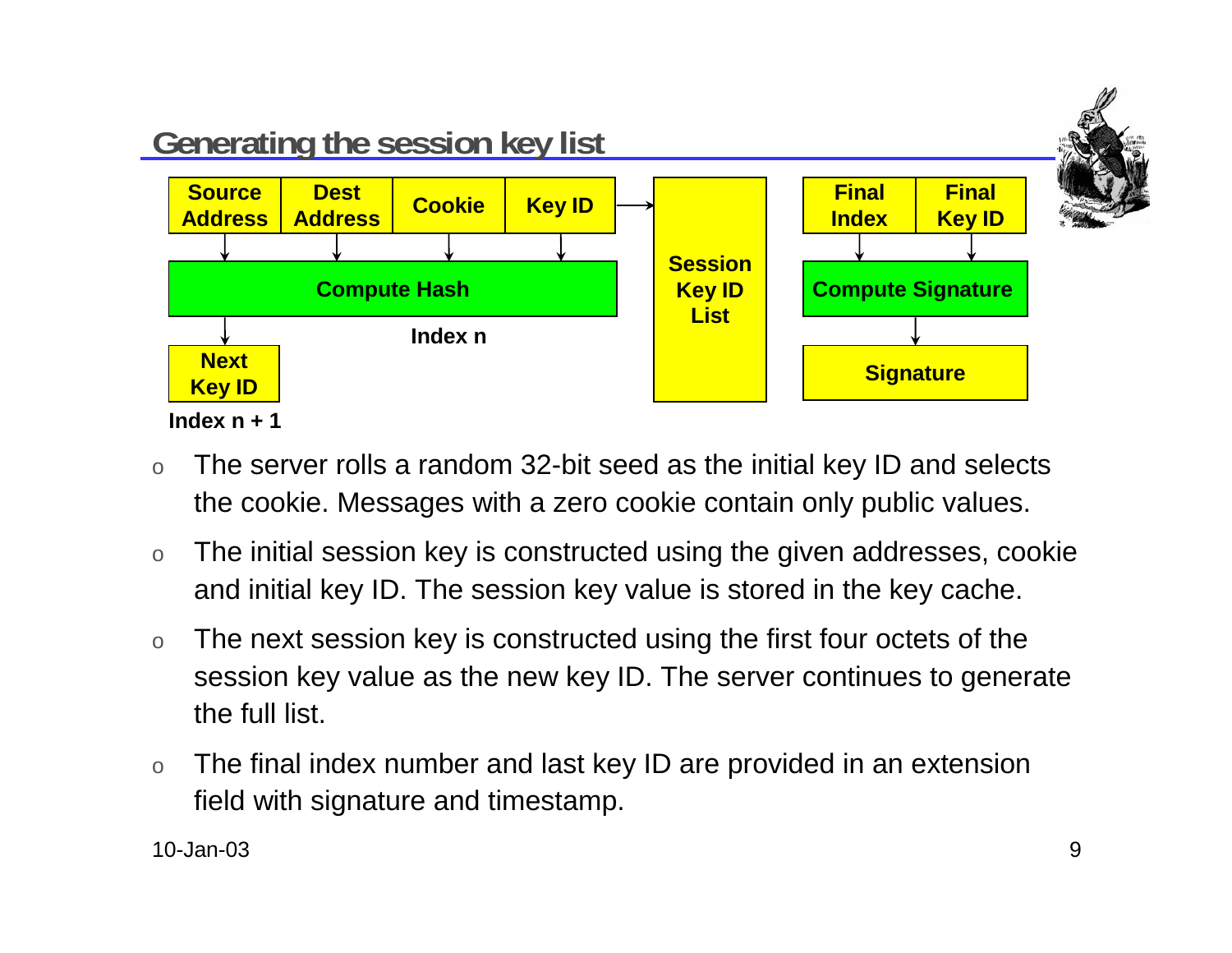

- o The server rolls a random 32-bit seed as the initial key ID and selects the cookie. Messages with a zero cookie contain only public values.
- o The initial session key is constructed using the given addresses, cookie and initial key ID. The session key value is stored in the key cache.
- o The next session key is constructed using the first four octets of the session key value as the new key ID. The server continues to generate the full list.
- o The final index number and last key ID are provided in an extension field with signature and timestamp.

10-Jan-03 $\mathsf 3$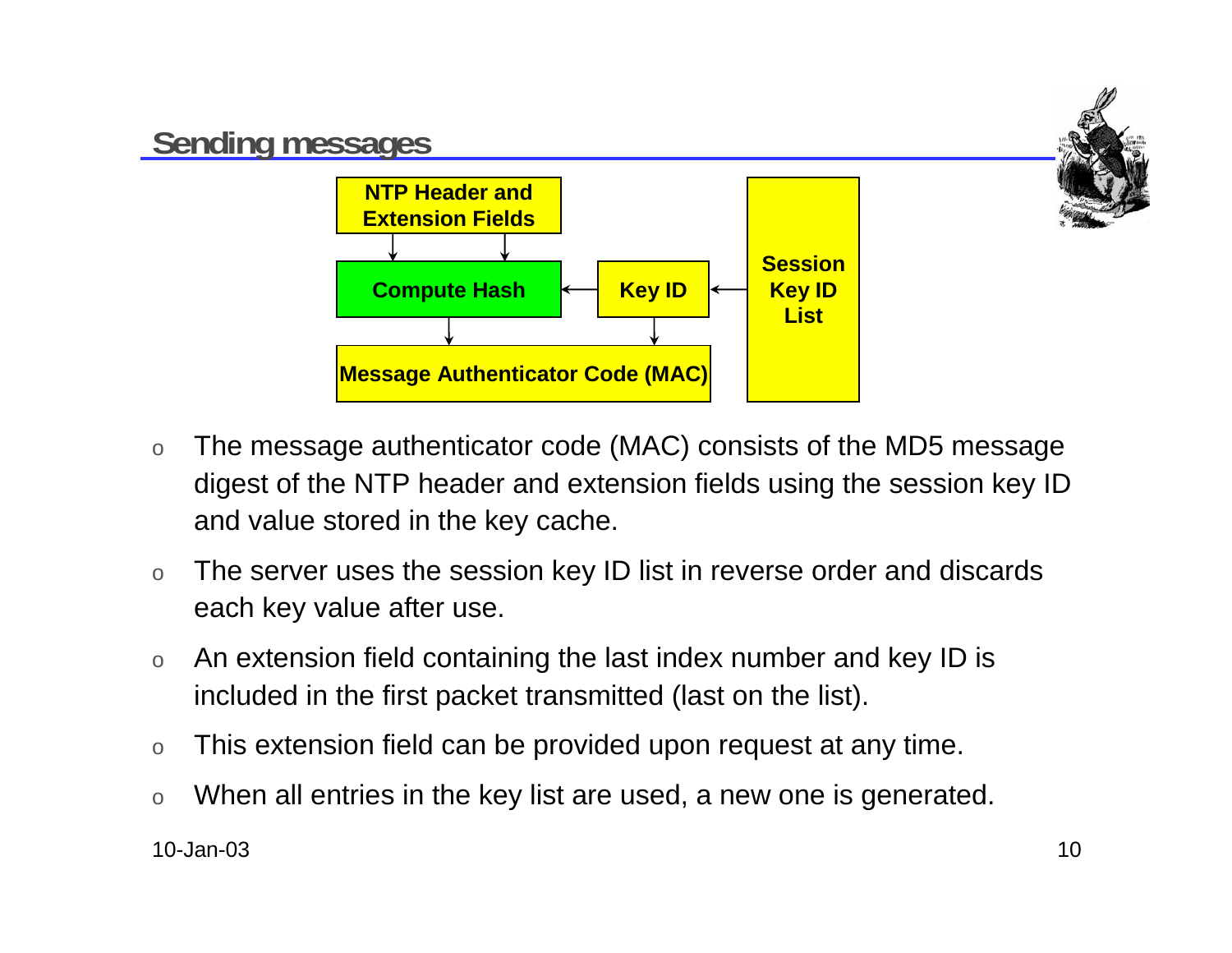

- o The message authenticator code (MAC) consists of the MD5 message digest of the NTP header and extension fields using the session key ID and value stored in the key cache.
- o The server uses the session key ID list in reverse order and discards each key value after use.
- o An extension field containing the last index number and key ID is included in the first packet transmitted (last on the list).
- oThis extension field can be provided upon request at any time.
- oWhen all entries in the key list are used, a new one is generated.

10-Jan-03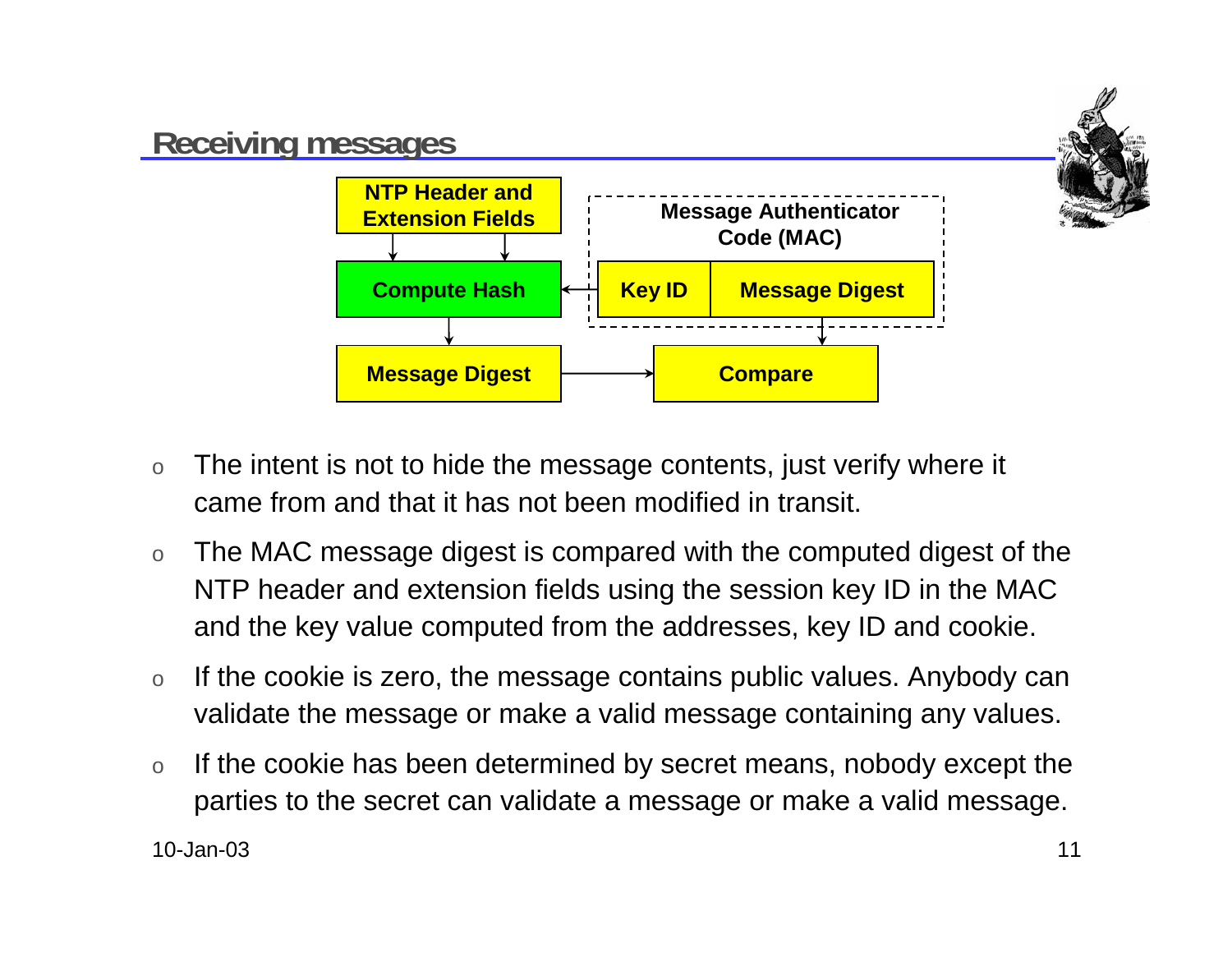

- o The intent is not to hide the message contents, just verify where it came from and that it has not been modified in transit.
- o The MAC message digest is compared with the computed digest of the NTP header and extension fields using the session key ID in the MAC and the key value computed from the addresses, key ID and cookie.
- o If the cookie is zero, the message contains public values. Anybody can validate the message or make a valid message containing any values.
- o If the cookie has been determined by secret means, nobody except the parties to the secret can validate a message or make a valid message.

10-Jan-03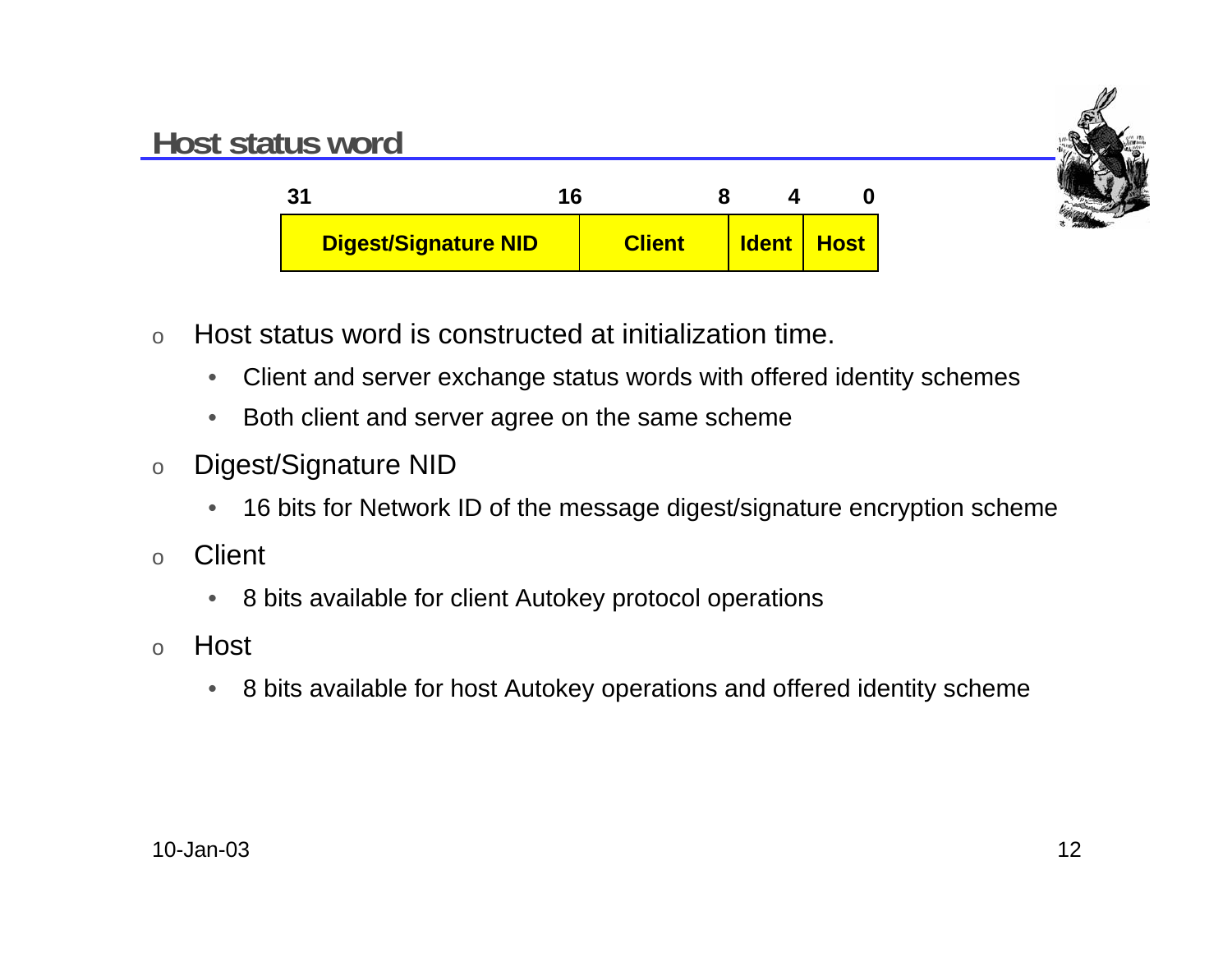



- o Host status word is constructed at initialization time.
	- $\bullet$ Client and server exchange status words with offered identity schemes
	- $\bullet$ Both client and server agree on the same scheme
- o Digest/Signature NID
	- $\bullet$ 16 bits for Network ID of the message digest/signature encryption scheme
- o**Client** 
	- $\bullet$ 8 bits available for client Autokey protocol operations
- o Host
	- $\bullet$ 8 bits available for host Autokey operations and offered identity scheme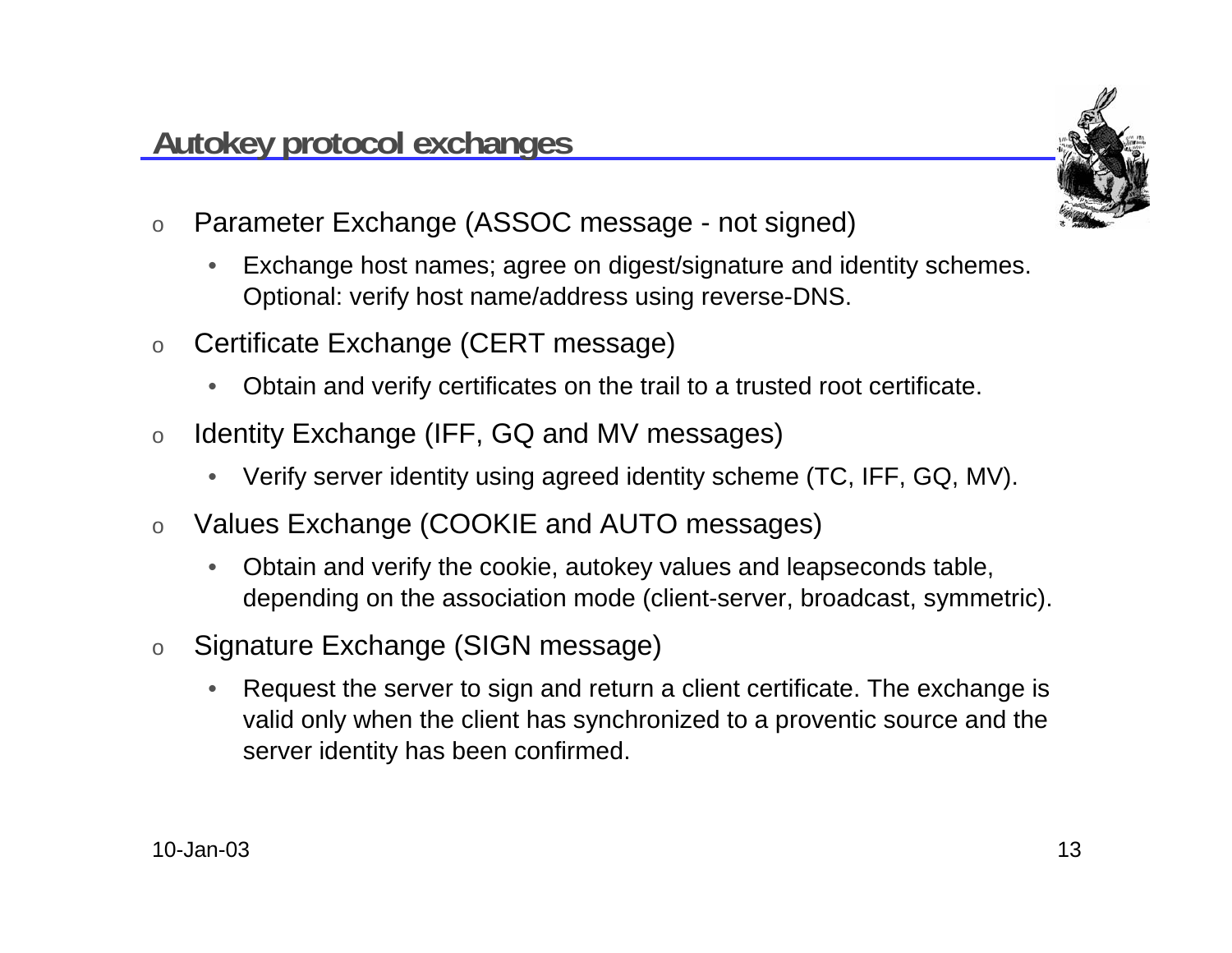o

 $\bullet$ 

•

• Request the server to sign and return a client certificate. The exchange is valid only when the client has synchronized to a proventic source and the server identity has been confirmed.

Obtain and verify the cookie, autokey values and leapseconds table,

depending on the association mode (client-server, broadcast, symmetric).

- oSignature Exchange (SIGN message)
- oValues Exchange (COOKIE and AUTO messages)
- •Verify server identity using agreed identity scheme (TC, IFF, GQ, MV).
- oIdentity Exchange (IFF, GQ and MV messages)
- 

**Autokey protocol exchanges**

Exchange host names; agree on digest/signature and identity schemes.

•Obtain and verify certificates on the trail to a trusted root certificate.

Optional: verify host name/address using reverse-DNS.

- 
- 
- o
- 

Parameter Exchange (ASSOC message - not signed)

- 
- Certificate Exchange (CERT message)



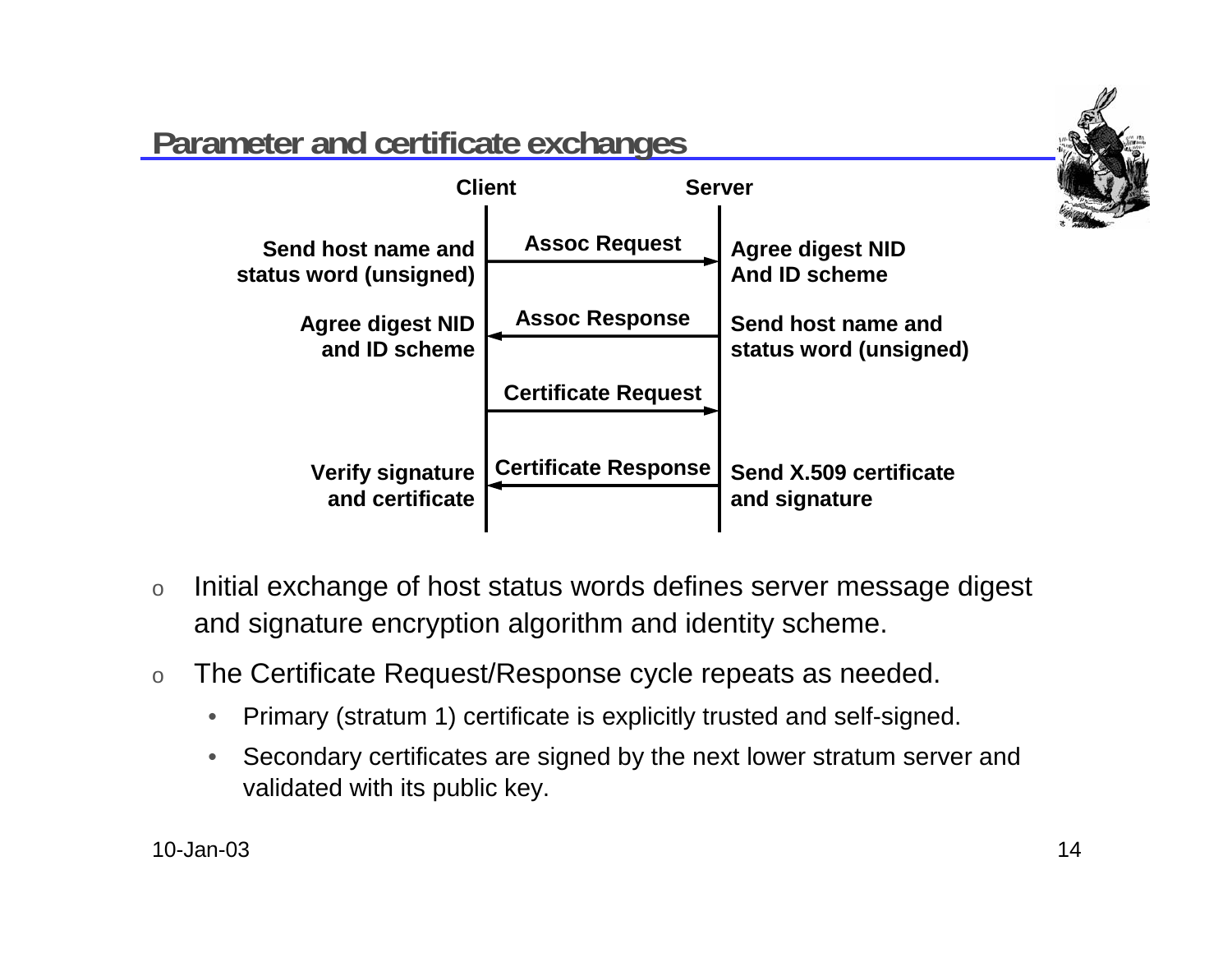

### **Parameter and certificate exchanges**



- o Initial exchange of host status words defines server message digest and signature encryption algorithm and identity scheme.
- o The Certificate Request/Response cycle repeats as needed.
	- •Primary (stratum 1) certificate is explicitly trusted and self-signed.
	- • Secondary certificates are signed by the next lower stratum server and validated with its public key.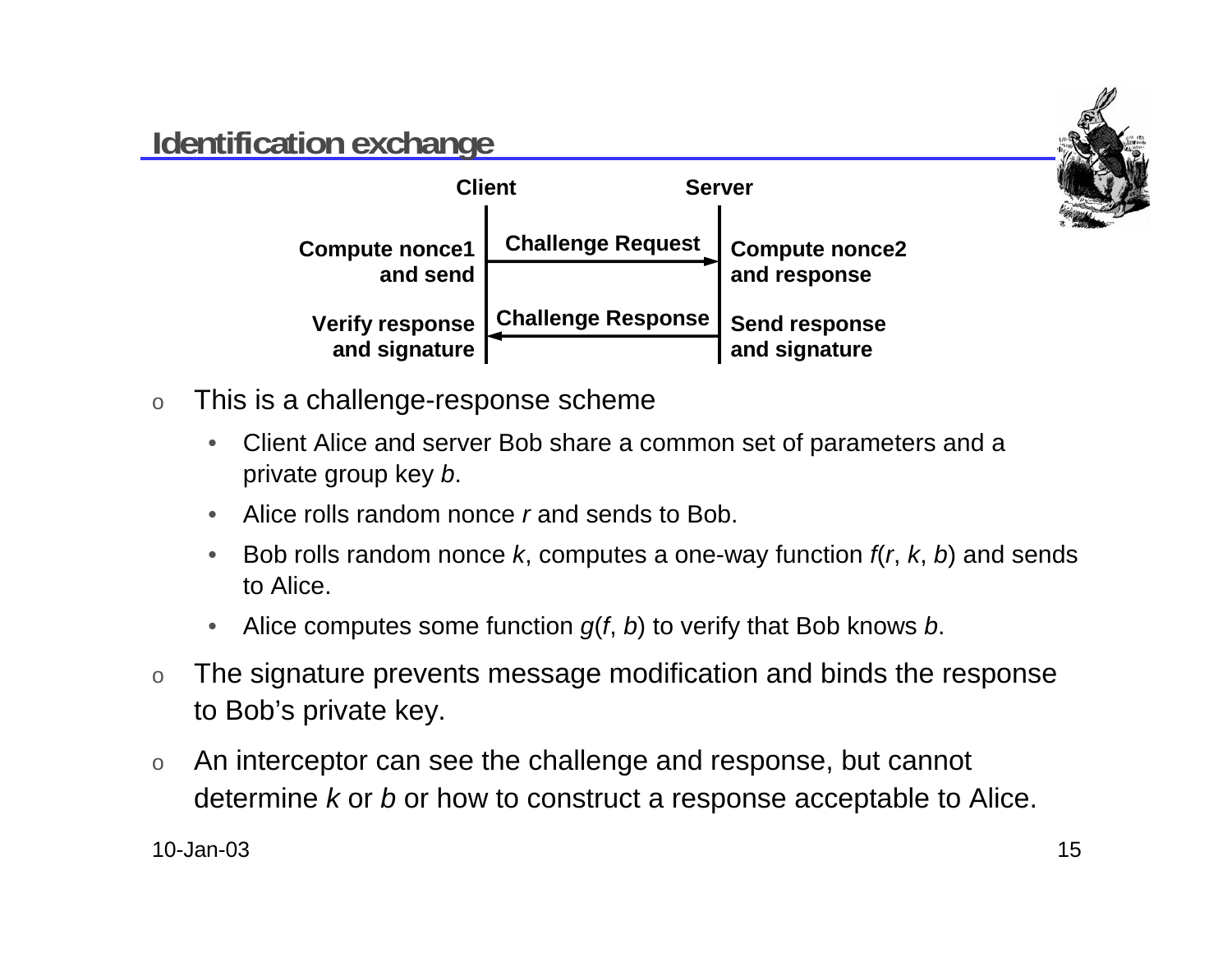### **Identification exchange**



- o This is a challenge-response scheme
	- $\bullet$  Client Alice and server Bob share a common set of parameters and <sup>a</sup> private group key b.
	- •Alice rolls random nonce r and sends to Bob.
	- •Bob rolls random nonce k, computes a one-way function  $f(r, k, b)$  and sends to Alice.
	- •Alice computes some function  $g(f, b)$  to verify that Bob knows b.
- o The signature prevents message modification and binds the response to Bob's private key.
- o An interceptor can see the challenge and response, but cannot determine  $k$  or  $b$  or how to construct a response acceptable to Alice.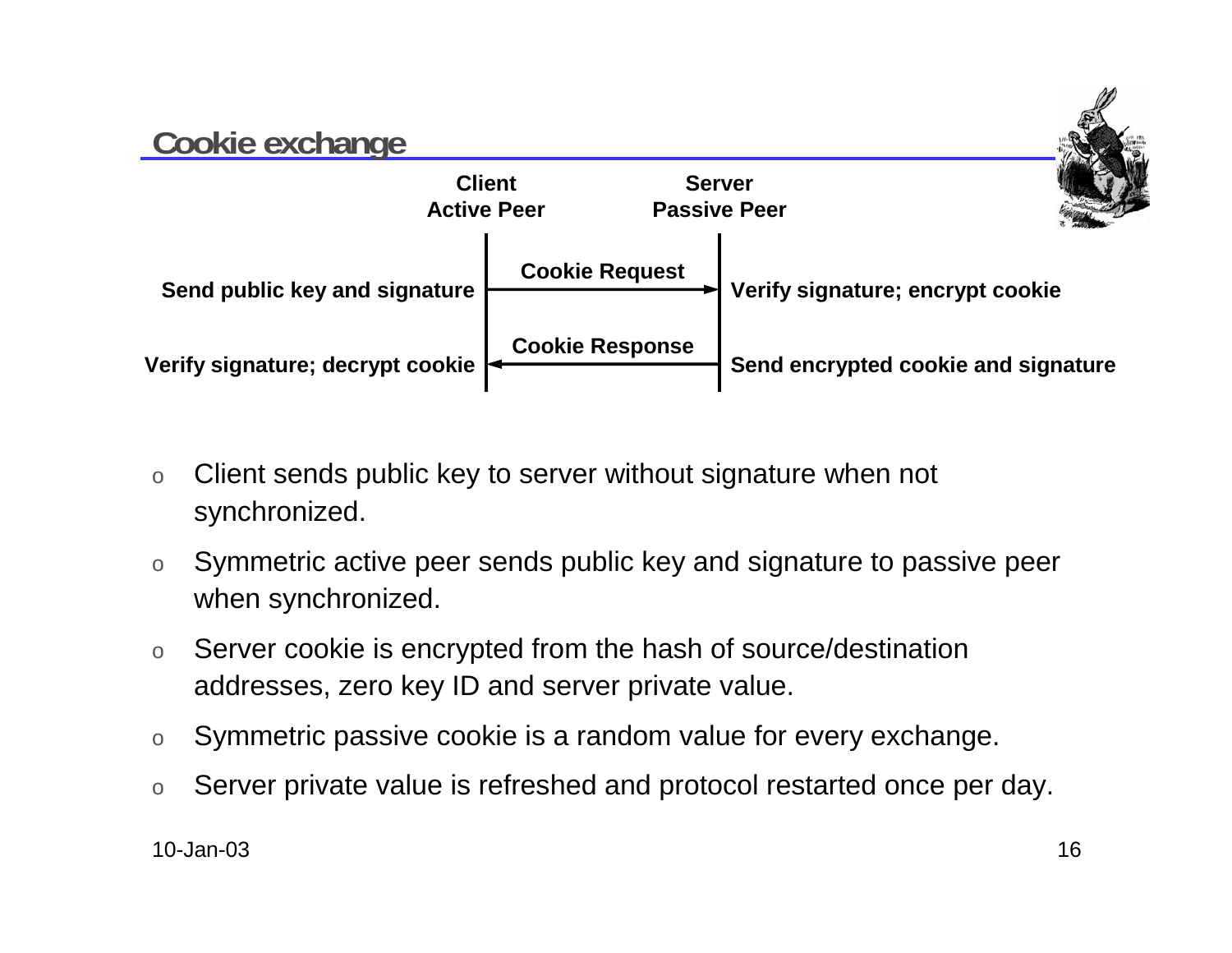### **Cookie exchange ClientActive PeerServerPassive PeerVerify signature; decrypt cookie | Cookie Response Cookie Request Send encrypted cookie and signature** Send public key and signature **Figure 1.1 Temple 1.1 Verify signature**; encrypt cookie

- o Client sends public key to server without signature when not synchronized.
- o Symmetric active peer sends public key and signature to passive peer when synchronized.
- o Server cookie is encrypted from the hash of source/destination addresses, zero key ID and server private value.
- oSymmetric passive cookie is a random value for every exchange.
- oServer private value is refreshed and protocol restarted once per day.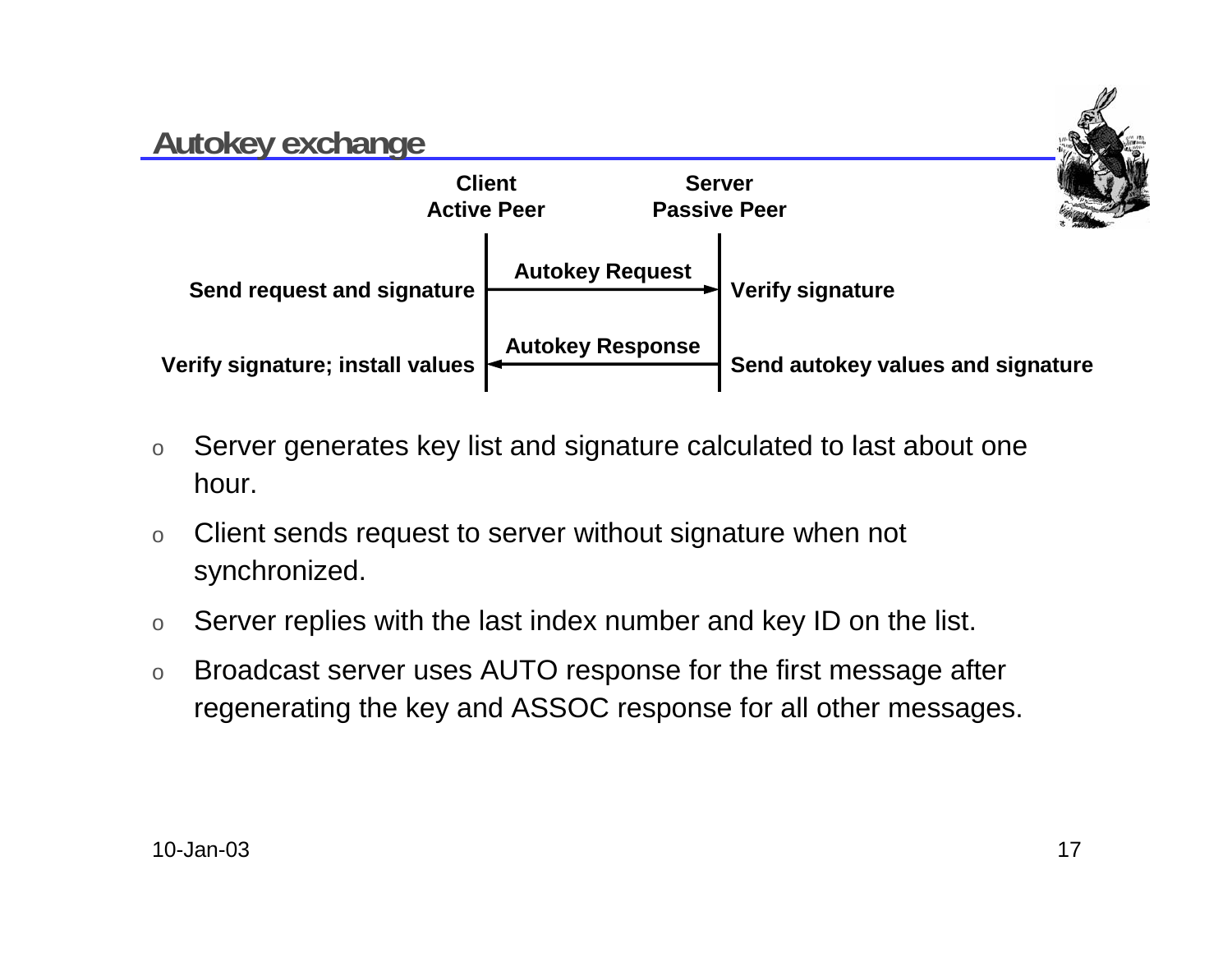### **Autokey exchange ClientActive PeerServerPassive PeerVerify signature; install values <br><b>Autokey Response Autokey Request Send autokey values and signature** Send request and signature  $\begin{array}{c} \begin{array}{c} \hline \end{array} \end{array}$  Verify signature

- o Server generates key list and signature calculated to last about one hour.
- o Client sends request to server without signature when not synchronized.
- oServer replies with the last index number and key ID on the list.
- o Broadcast server uses AUTO response for the first message after regenerating the key and ASSOC response for all other messages.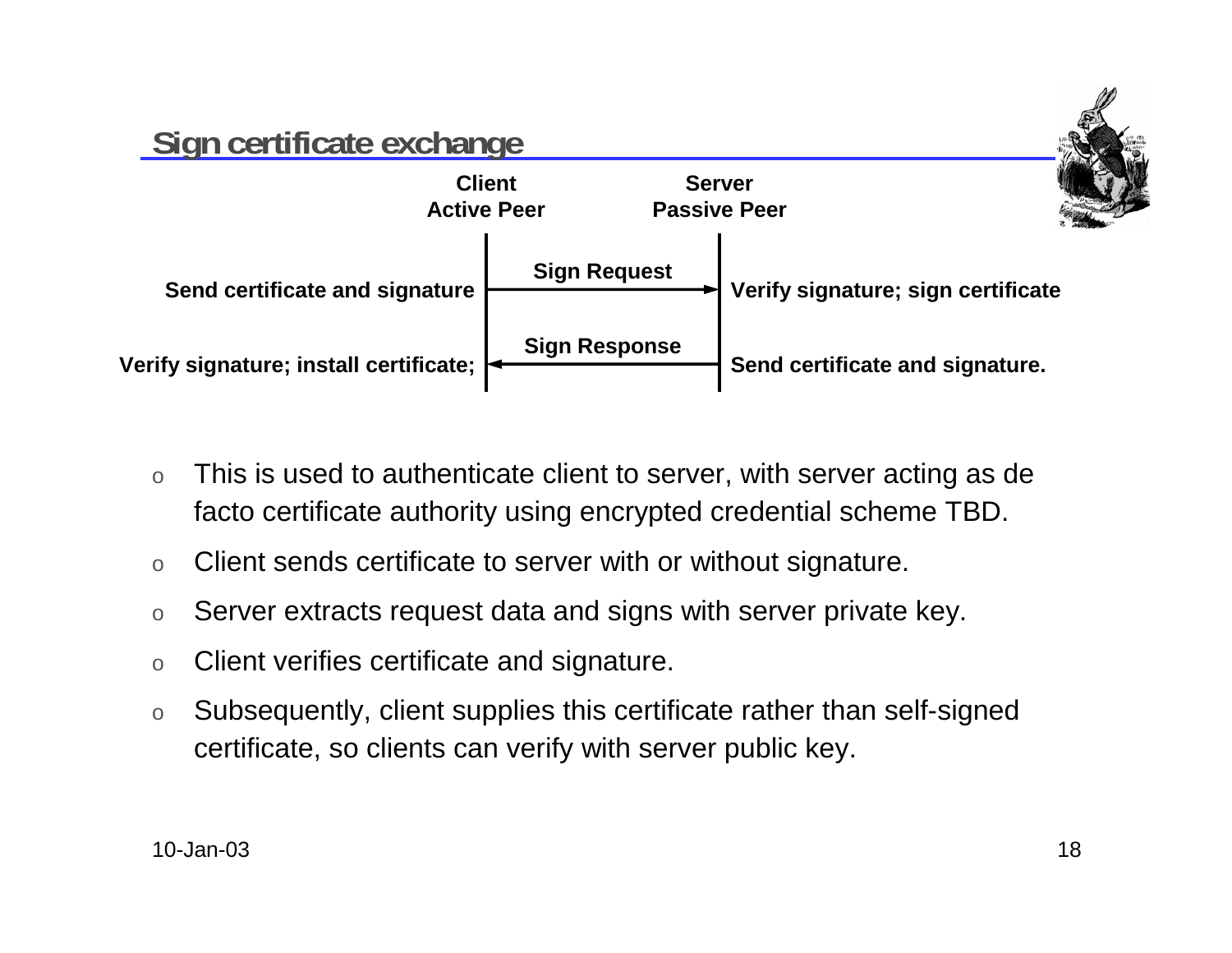

- o This is used to authenticate client to server, with server acting as de facto certificate authority using encrypted credential scheme TBD.
- $\Omega$ Client sends certificate to server with or without signature.
- oServer extracts request data and signs with server private key.
- oClient verifies certificate and signature.
- o Subsequently, client supplies this certificate rather than self-signed certificate, so clients can verify with server public key.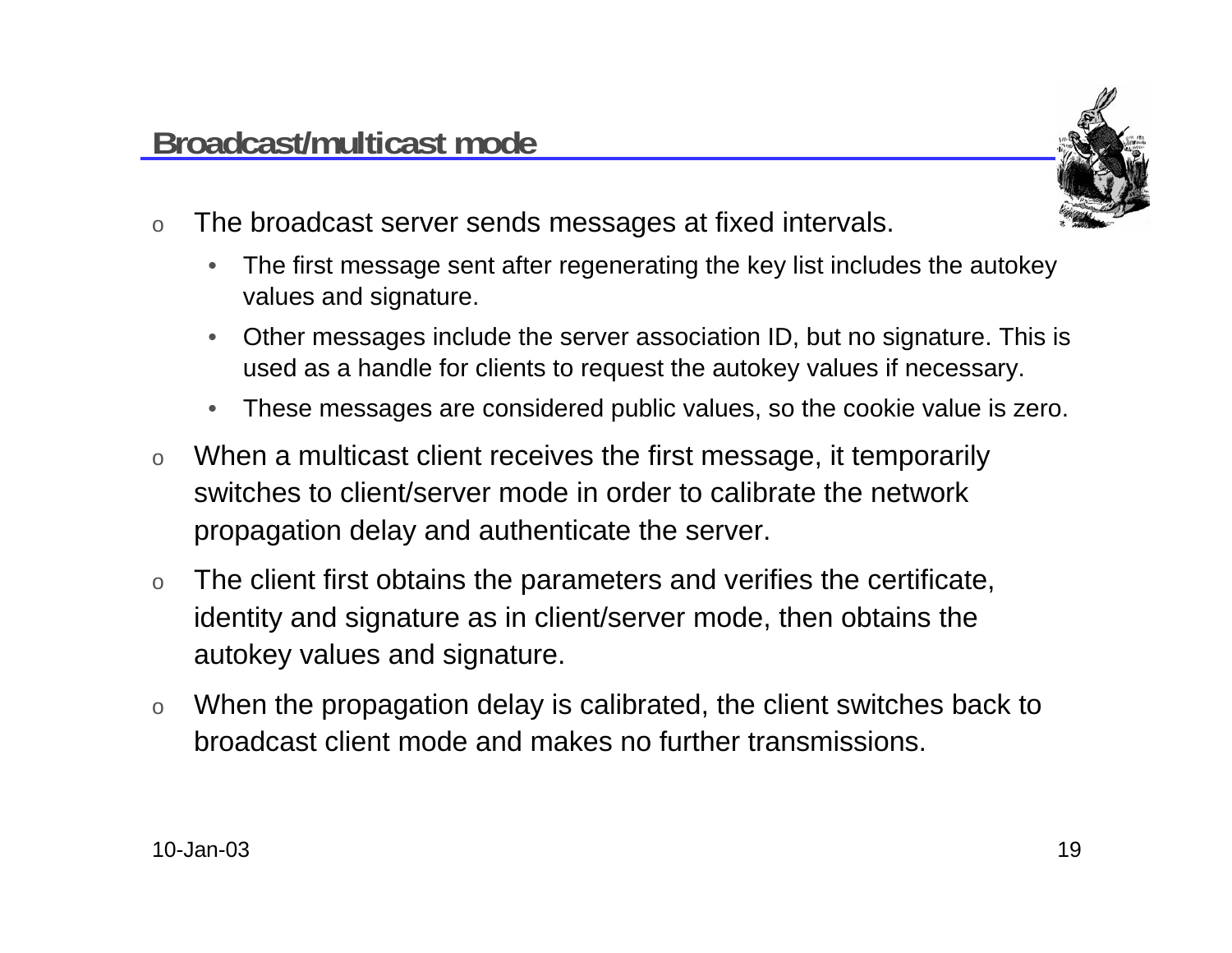

- o The broadcast server sends messages at fixed intervals.
	- • The first message sent after regenerating the key list includes the autokey values and signature.
	- • Other messages include the server association ID, but no signature. This is used as a handle for clients to request the autokey values if necessary.
	- •These messages are considered public values, so the cookie value is zero.
- o When a multicast client receives the first message, it temporarily switches to client/server mode in order to calibrate the networkpropagation delay and authenticate the server.
- o The client first obtains the parameters and verifies the certificate, identity and signature as in client/server mode, then obtains the autokey values and signature.
- o When the propagation delay is calibrated, the client switches back to broadcast client mode and makes no further transmissions.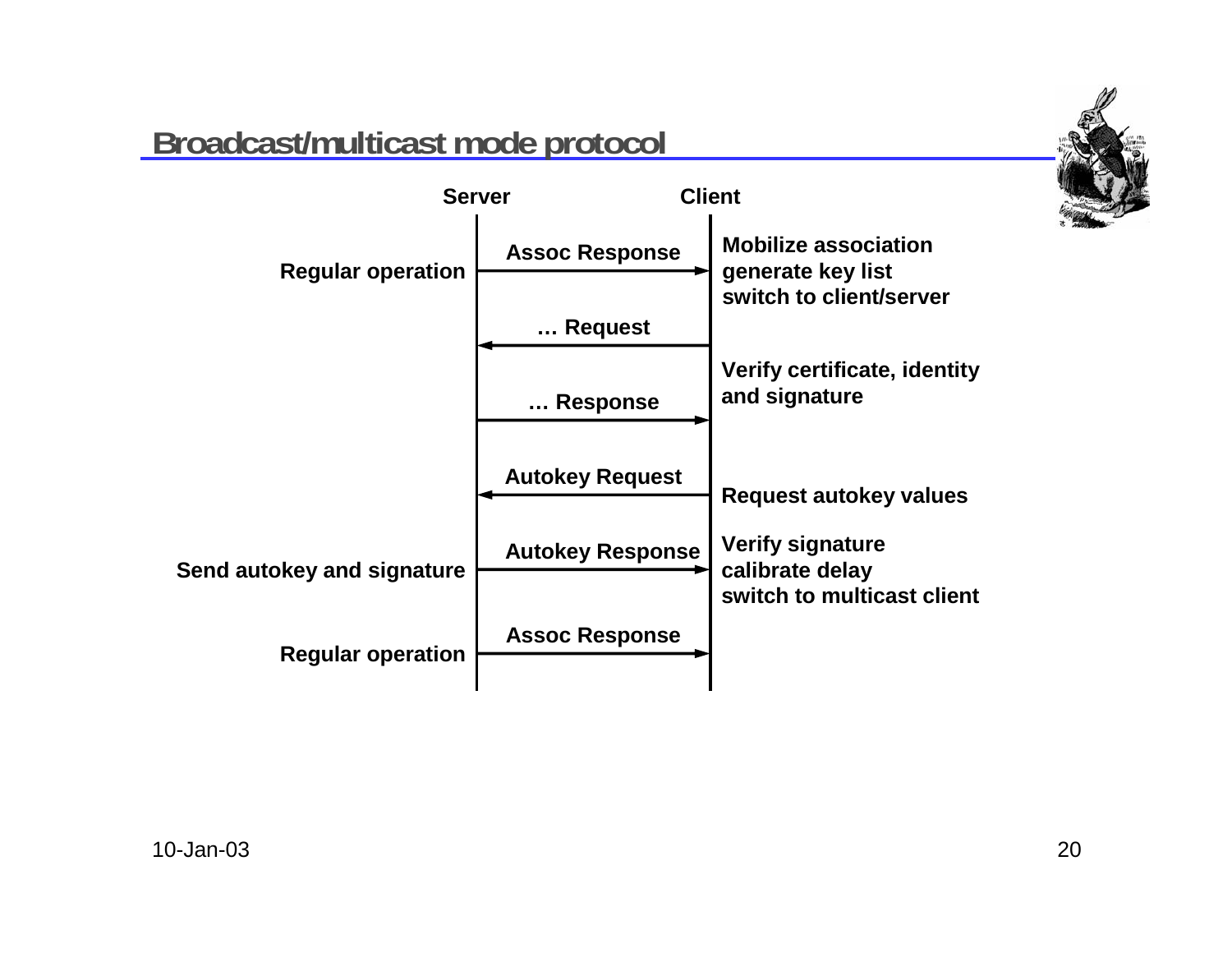

### **Broadcast/multicast mode protocol**

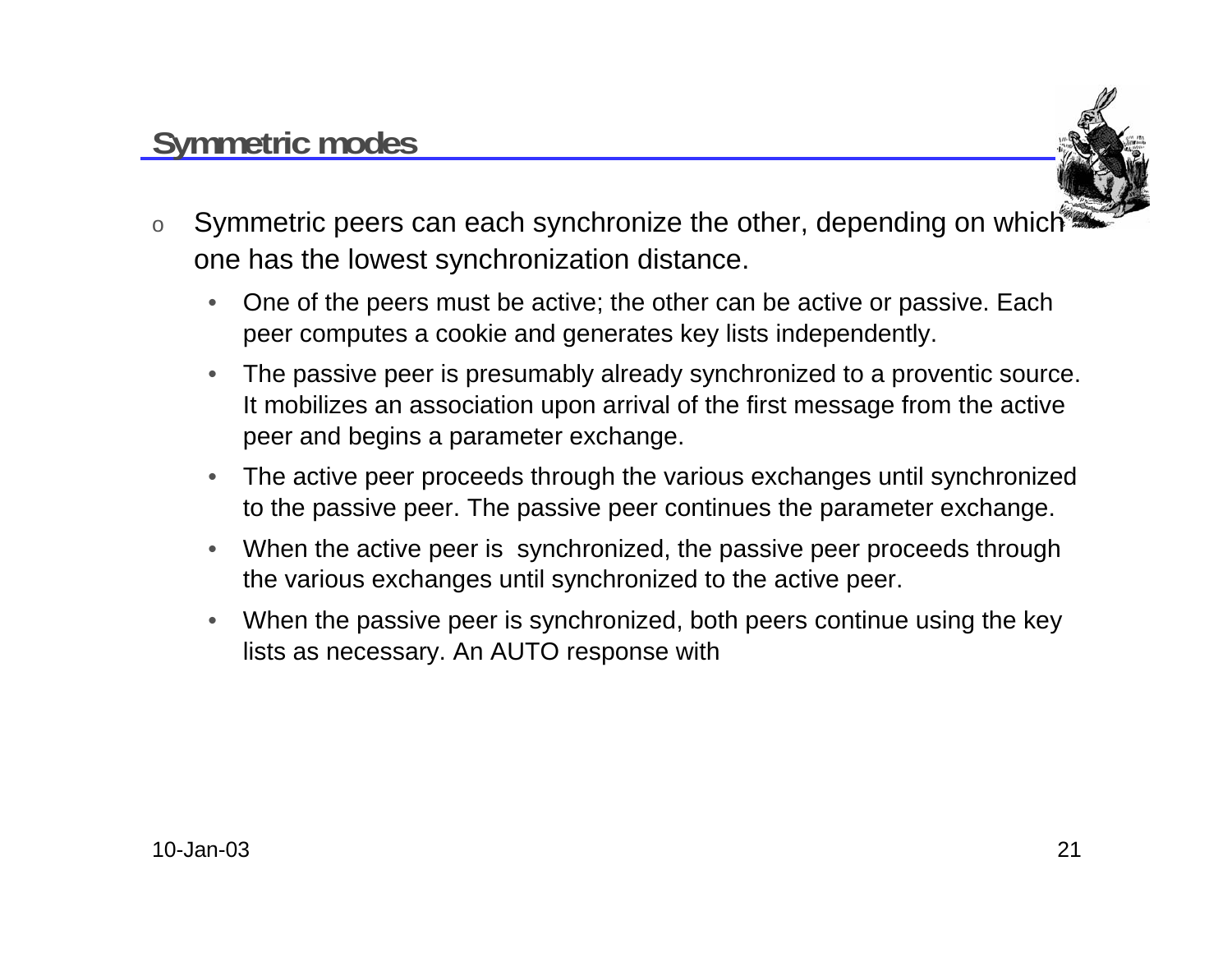### **Symmetric modes**



- o Symmetric peers can each synchronize the other, depending on which one has the lowest synchronization distance.
	- $\bullet$  One of the peers must be active; the other can be active or passive. Each peer computes a cookie and generates key lists independently.
	- • The passive peer is presumably already synchronized to a proventic source. It mobilizes an association upon arrival of the first message from the active peer and begins a parameter exchange.
	- • The active peer proceeds through the various exchanges until synchronized to the passive peer. The passive peer continues the parameter exchange.
	- • When the active peer is synchronized, the passive peer proceeds through the various exchanges until synchronized to the active peer.
	- $\bullet$  When the passive peer is synchronized, both peers continue using the key lists as necessary. An AUTO response with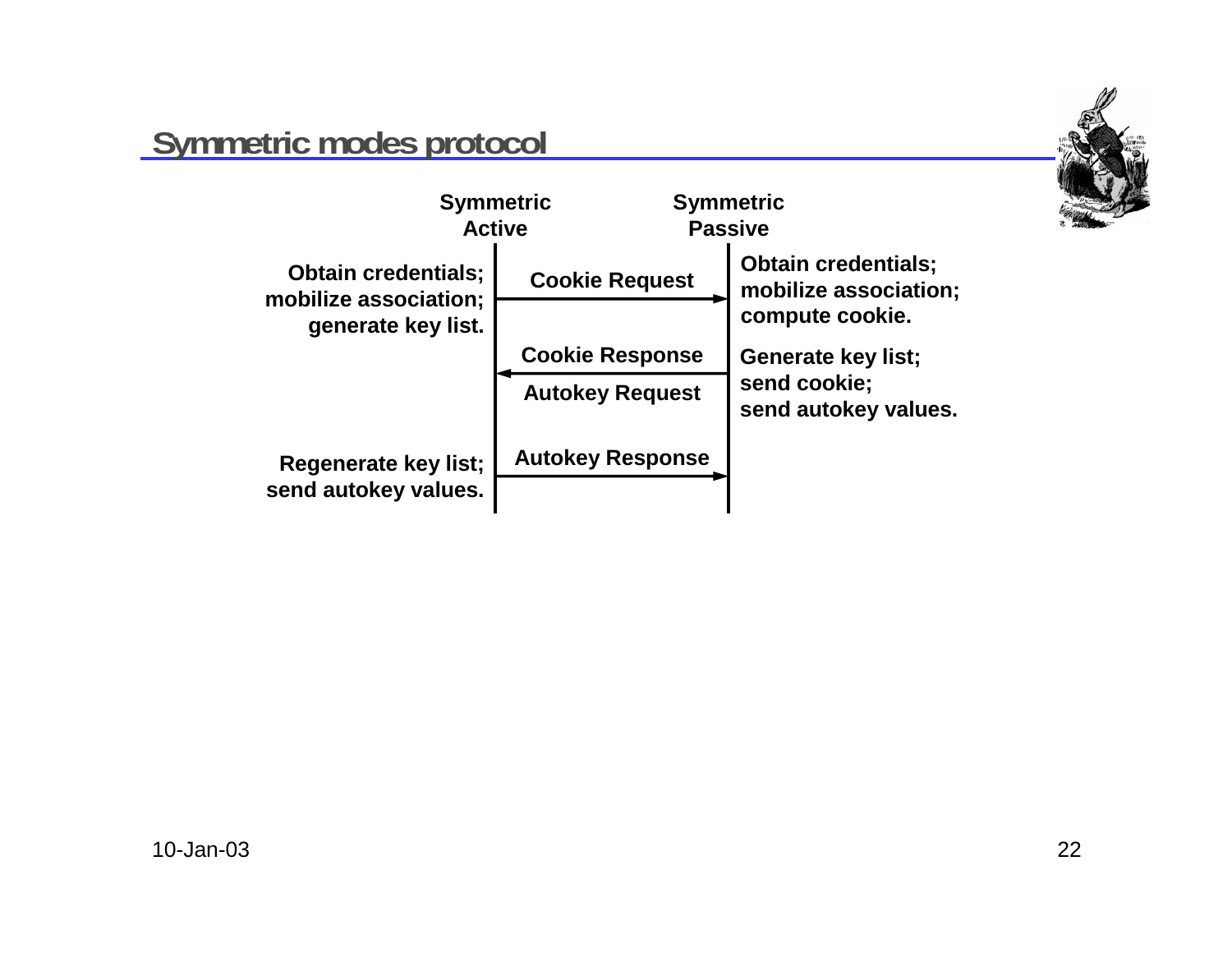

### **Symmetric modes protocol**

| <b>Symmetric</b><br><b>Active</b>                                         |                         | <b>Symmetric</b><br><b>Passive</b>                  |  |
|---------------------------------------------------------------------------|-------------------------|-----------------------------------------------------|--|
| <b>Obtain credentials;</b><br>mobilize association;<br>generate key list. | <b>Cookie Request</b>   | <b>Obtain credentials;</b><br>mobilize association: |  |
|                                                                           |                         | compute cookie.                                     |  |
|                                                                           | <b>Cookie Response</b>  | <b>Generate key list;</b>                           |  |
|                                                                           | <b>Autokey Request</b>  | send cookie;<br>send autokey values.                |  |
| Regenerate key list;<br>send autokey values.                              | <b>Autokey Response</b> |                                                     |  |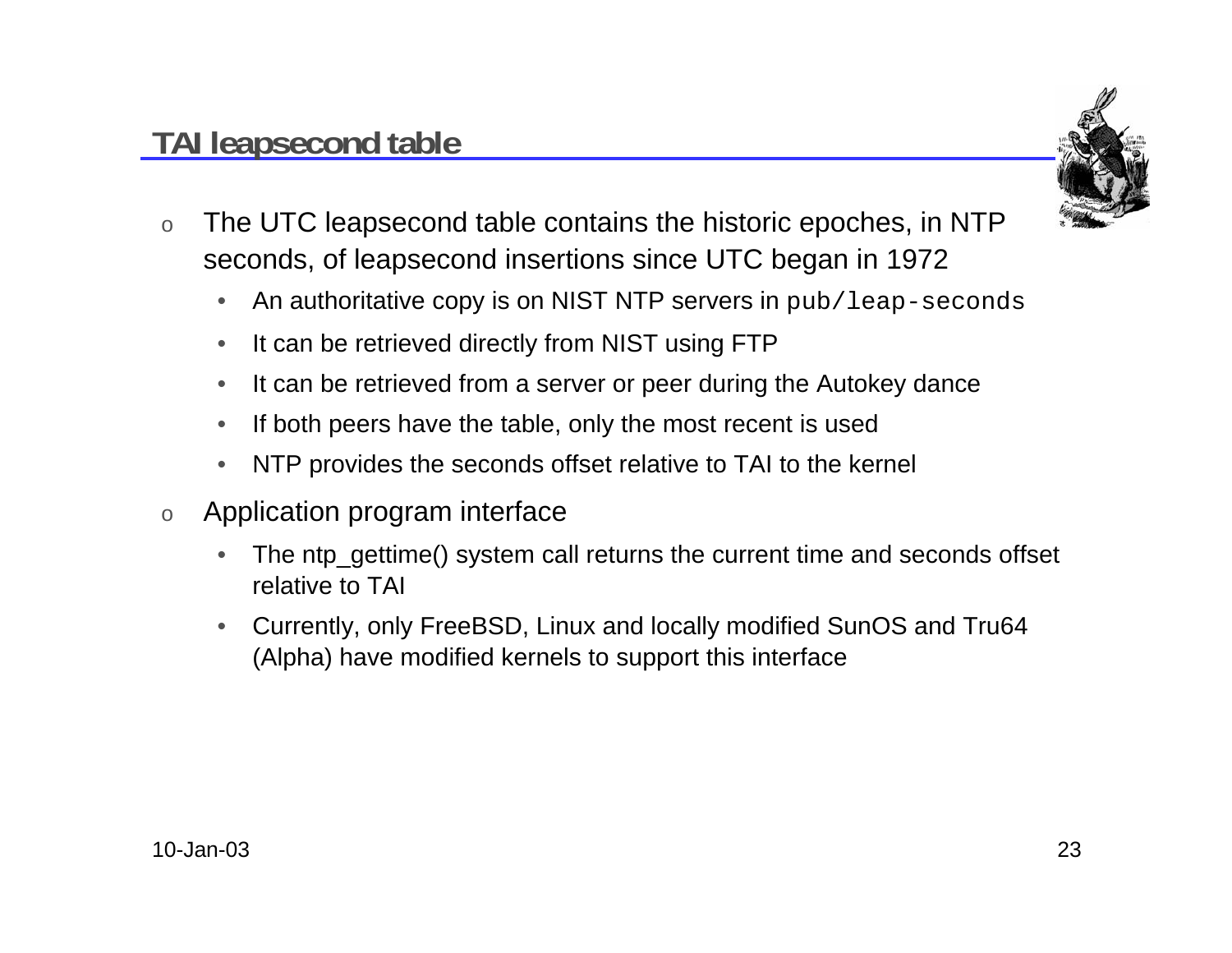## **TAI leapsecond table**



- o The UTC leapsecond table contains the historic epoches, in NTP seconds, of leapsecond insertions since UTC began in 1972
	- $\bullet$ An authoritative copy is on NIST NTP servers in pub/leap-seconds
	- $\bullet$ It can be retrieved directly from NIST using FTP
	- $\bullet$ It can be retrieved from a server or peer during the Autokey dance
	- •If both peers have the table, only the most recent is used
	- $\bullet$ NTP provides the seconds offset relative to TAI to the kernel
- o Application program interface
	- •The ntp\_gettime() system call returns the current time and seconds offset relative to TAI
	- Currently, only FreeBSD, Linux and locally modified SunOS and Tru64 (Alpha) have modified kernels to support this interface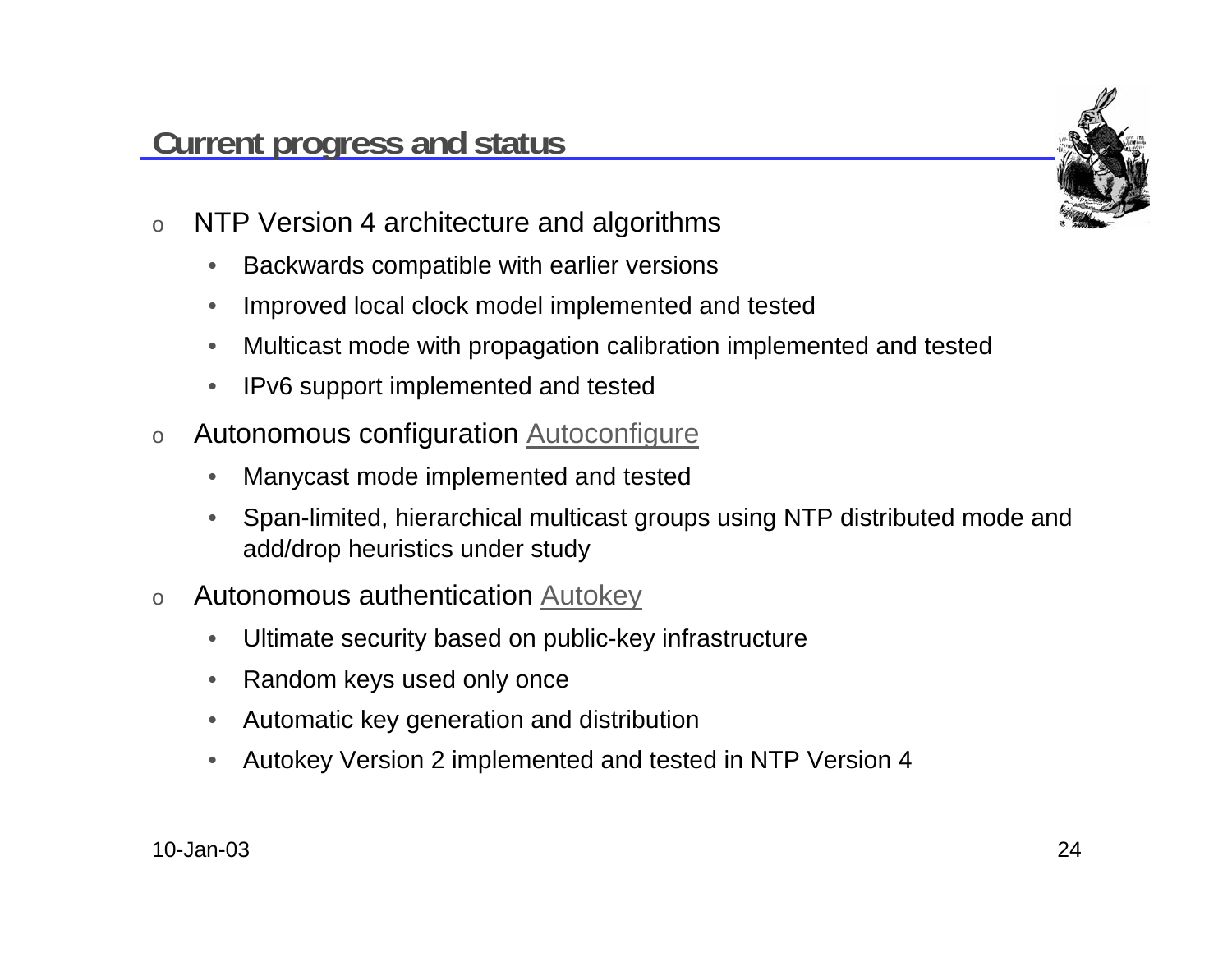

- o NTP Version 4 architecture and algorithms
	- $\bullet$ Backwards compatible with earlier versions
	- •Improved local clock model implemented and tested
	- •Multicast mode with propagation calibration implemented and tested
	- •IPv6 support implemented and tested
- o Autonomous configuration Autoconfigure
	- •Manycast mode implemented and tested
	- • Span-limited, hierarchical multicast groups using NTP distributed mode and add/drop heuristics under study
- o Autonomous authentication Autokey
	- •Ultimate security based on public-key infrastructure
	- •Random keys used only once
	- •Automatic key generation and distribution
	- •Autokey Version 2 implemented and tested in NTP Version 4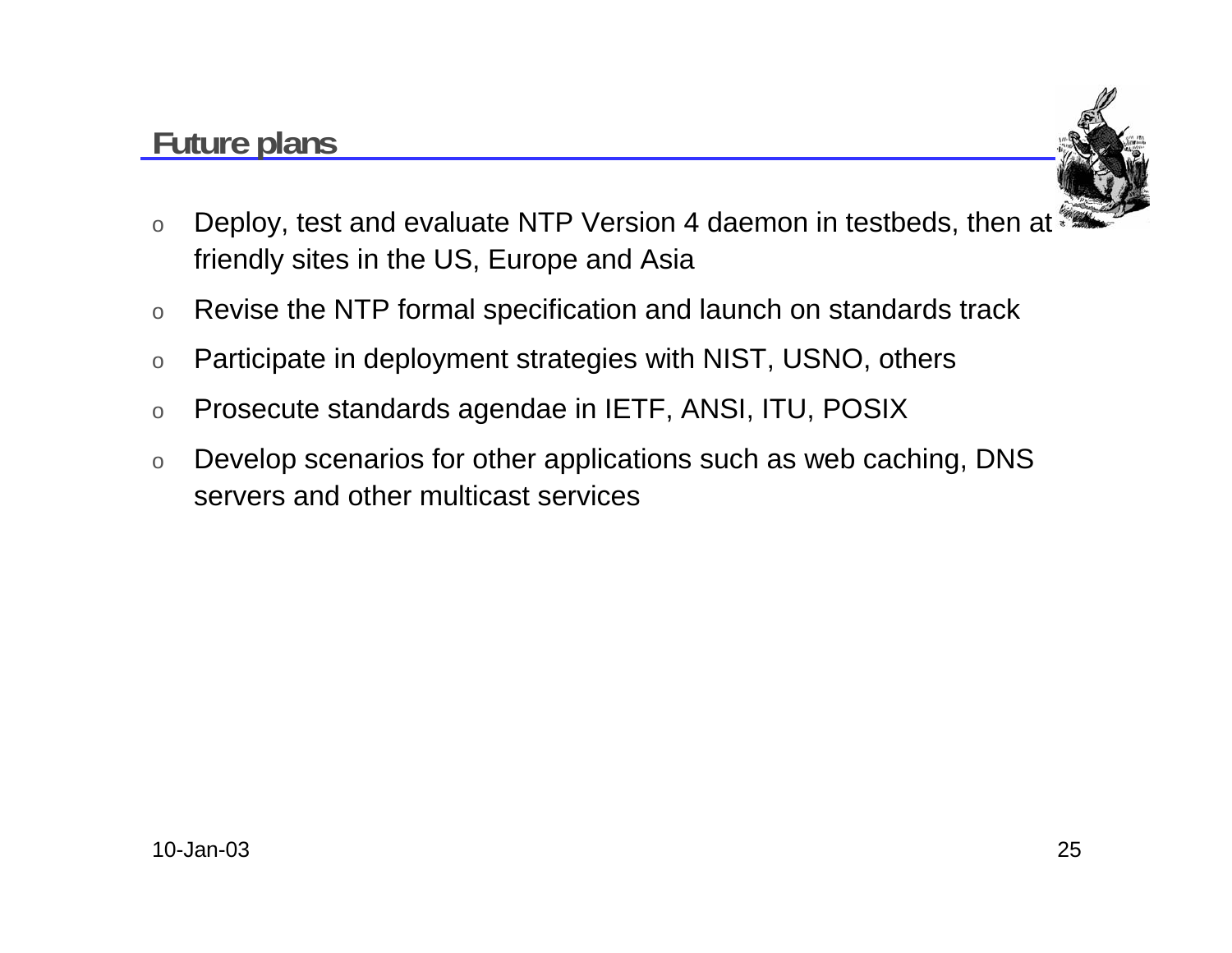### **Future plans**



- o Deploy, test and evaluate NTP Version 4 daemon in testbeds, then at friendly sites in the US, Europe and Asia
- oRevise the NTP formal specification and launch on standards track
- oParticipate in deployment strategies with NIST, USNO, others
- oProsecute standards agendae in IETF, ANSI, ITU, POSIX
- o Develop scenarios for other applications such as web caching, DNS servers and other multicast services